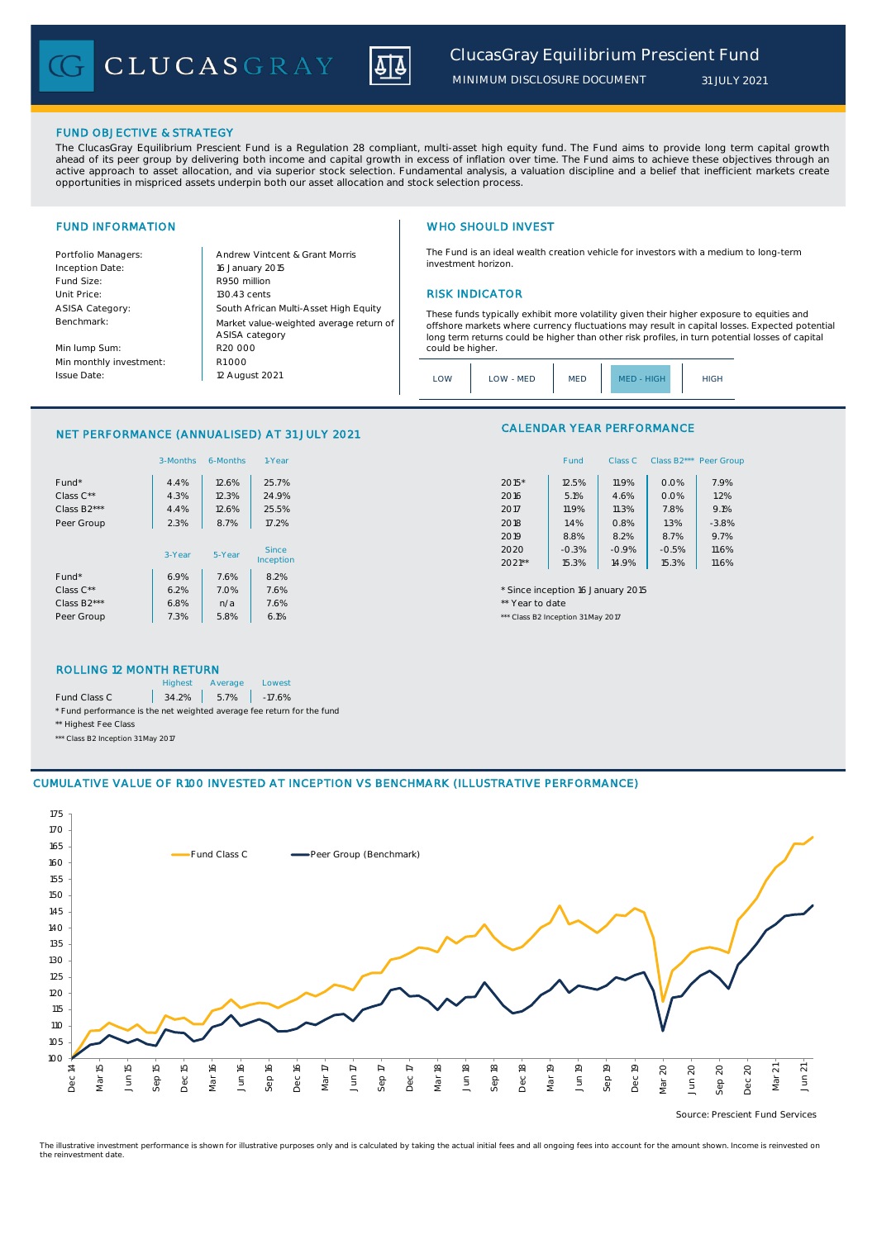CLUCASGRAY



*MINIMUM DISCLOSURE DOCUMENT*

### FUND OBJECTIVE & STRATEGY

The ClucasGray Equilibrium Prescient Fund is a Regulation 28 compliant, multi-asset high equity fund. The Fund aims to provide long term capital growth ahead of its peer group by delivering both income and capital growth in excess of inflation over time. The Fund aims to achieve these objectives through an<br>active approach to asset allocation, and via superior stock select opportunities in mispriced assets underpin both our asset allocation and stock selection process.

Inception Date: Fund Size: R950 million ASISA Category: Benchmark:

Min lump Sum: Min monthly investment: Issue Date:

Portfolio Managers: <br>Andrew Vintcent & Grant Morris Unit Price: 130.43 cents RISK INDICATOR South African Multi-Asset High Equity 16 January 2015 R20 000 Market value-weighted average return of ASISA category 12 August 2021  $R1000$ 

# FUND INFORMATION **WHO SHOULD INVEST**

The Fund is an ideal wealth creation vehicle for investors with a medium to long-term investment horizon.

These funds typically exhibit more volatility given their higher exposure to equities and offshore markets where currency fluctuations may result in capital losses. Expected potential long term returns could be higher than other risk profiles, in turn potential losses of capital could be higher

| .OW | LOW - MED | <b>MED</b> | <b>HIGH</b><br>MED. | HIGH |
|-----|-----------|------------|---------------------|------|
|-----|-----------|------------|---------------------|------|

## NET PERFORMANCE (ANNUALISED) AT 31 JULY 2021

|                          | 3-Months | 6-Months | 1-Year       | Class B2*** Peer Gro<br>Fund<br>Class C        |
|--------------------------|----------|----------|--------------|------------------------------------------------|
| Fund*                    | 4.4%     | 12.6%    | 25.7%        | $2015*$<br>7.9%<br>12.5%<br>11.9%<br>0.0%      |
| Class $C^{\star\star}$   | 4.3%     | 12.3%    | 24.9%        | 0.0%<br>1.2%<br>5.1%<br>2016<br>4.6%           |
| Class B <sub>2</sub> *** | 4.4%     | 12.6%    | 25.5%        | 9.1%<br>11.9%<br>7.8%<br>11.3%<br>2017         |
| Peer Group               | 2.3%     | 8.7%     | 17.2%        | 1.3%<br>$-3.8%$<br>2018<br>1.4%<br>0.8%        |
|                          |          |          |              | 8.7%<br>9.7%<br>8.8%<br>2019<br>8.2%           |
|                          | 3-Year   | 5-Year   | <b>Since</b> | $-0.5%$<br>2020<br>$-0.3%$<br>$-0.9%$<br>11.6% |
|                          |          |          | Inception    | 15.3%<br>$2021**$<br>15.3%<br>11.6%<br>14.9%   |
| Fund*                    | 6.9%     | 7.6%     | 8.2%         |                                                |
| Class $C^{\star\star}$   | 6.2%     | 7.0%     | 7.6%         | * Since inception 16 January 2015              |
| Class B <sub>2</sub> *** | 6.8%     | n/a      | 7.6%         | ** Year to date                                |
| Peer Group               | 7.3%     | 5.8%     | 6.1%         | *** Class B2 Inception 31 May 2017             |

# CALENDAR YEAR PERFORMANCE

| 1-Year  |          | Fund    | Class C | Class B2*** Peer Group |         |
|---------|----------|---------|---------|------------------------|---------|
| 25.7%   | 2015*    | 12.5%   | 11.9%   | 0.0%                   | 7.9%    |
| 24.9%   | 2016     | 5.1%    | 4.6%    | 0.0%                   | 1.2%    |
| 25.5%   | 2017     | 11.9%   | 11.3%   | 7.8%                   | 9.1%    |
| 17.2%   | 2018     | 1.4%    | 0.8%    | 1.3%                   | $-3.8%$ |
|         | 2019     | 8.8%    | 8.2%    | 8.7%                   | 9.7%    |
| Since   | 2020     | $-0.3%$ | $-0.9%$ | $-0.5%$                | 11.6%   |
| ception | $2021**$ | 15.3%   | 14.9%   | 15.3%                  | 11.6%   |

### ROLLING 12 MONTH RETURN

|                                                                        | <b>Highest</b> | Average              | Lowest |  |  |
|------------------------------------------------------------------------|----------------|----------------------|--------|--|--|
| Fund Class C                                                           |                | $34.2\%$ 5.7% -17.6% |        |  |  |
| * Fund performance is the net weighted average fee return for the fund |                |                      |        |  |  |
| ** Highest Fee Class                                                   |                |                      |        |  |  |

\*\*\* Class B2 Inception 31 May 2017

### CUMULATIVE VALUE OF R100 INVESTED AT INCEPTION VS BENCHMARK (ILLUSTRATIVE PERFORMANCE)



Source: Prescient Fund Services

The illustrative investment performance is shown for illustrative purposes only and is calculated by taking the actual initial fees and all ongoing fees into account for the amount shown. Income is reinvested on the reinvestment date.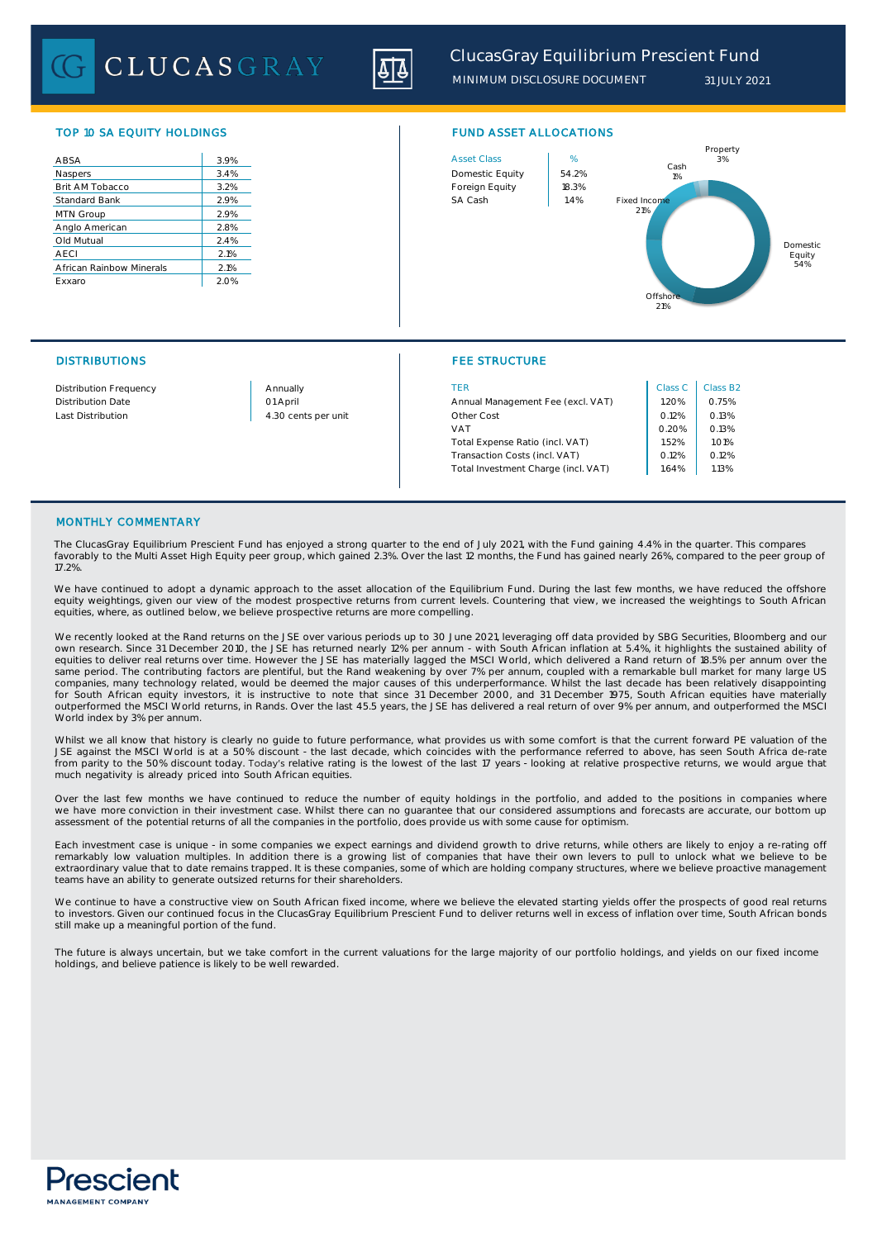CLUCASGRAY



TOP 10 SA EQUITY HOLDINGS FUND ASSET ALLOCATIONS

| ABSA                     | 3.9%    |
|--------------------------|---------|
| Naspers                  | 3.4%    |
| Brit AM Tobacco          | $3.2\%$ |
| Standard Bank            | 2.9%    |
| MTN Group                | 2.9%    |
| Anglo American           | 2.8%    |
| Old Mutual               | 2.4%    |
| <b>AECI</b>              | 2.1%    |
| African Rainbow Minerals | 2.1%    |
| Exxaro                   | 2.0%    |
|                          |         |



## DISTRIBUTIONS FEE STRUCTURE

| Distribution Frequency | Annually            | TER                                 | Class C | Class B      |
|------------------------|---------------------|-------------------------------------|---------|--------------|
| Distribution Date      | 01 April            | Annual Management Fee (excl. VAT)   | 1.20%   | 0.75%        |
| Last Distribution      | 4.30 cents per unit | Other Cost                          | 0.12%   | 0.13%        |
|                        |                     | <b>VAT</b>                          | 0.20%   | 0.13%        |
|                        |                     | Total Expense Ratio (incl. VAT)     | 1.52%   | <b>1.01%</b> |
|                        |                     | Transaction Costs (incl. VAT)       | 0.12%   | 0.12%        |
|                        |                     | Total Investment Charge (incl. VAT) | 1.64%   | 1.13%        |

| Class C | Class B <sub>2</sub> |
|---------|----------------------|
| 1.20%   | 0.75%                |
| 0.12%   | 0.13%                |
| 0.20%   | 0.13%                |
| 1.52%   | 1.01%                |
| 0.12%   | 0.12%                |
| 1.64%   | 1.13%                |

### MONTHLY COMMENTARY

The ClucasGray Equilibrium Prescient Fund has enjoyed a strong quarter to the end of July 2021, with the Fund gaining 4.4% in the quarter. This compares favorably to the Multi Asset High Equity peer group, which gained 2.3%. Over the last 12 months, the Fund has gained nearly 26%, compared to the peer group of 17.2%.

We have continued to adopt a dynamic approach to the asset allocation of the Equilibrium Fund. During the last few months, we have reduced the offshore equity weightings, given our view of the modest prospective returns from current levels. Countering that view, we increased the weightings to South African equities, where, as outlined below, we believe prospective returns are more compelling.

We recently looked at the Rand returns on the JSE over various periods up to 30 June 2021, leveraging off data provided by SBG Securities, Bloomberg and our own research. Since 31 December 2010, the JSE has returned nearly 12% per annum - with South African inflation at 5.4%, it highlights the sustained ability of equities to deliver real returns over time. However the JSE has materially lagged the MSCI World, which delivered a Rand return of 18.5% per annum over the same period. The contributing factors are plentiful, but the Rand weakening by over 7% per annum, coupled with a remarkable bull market for many large US<br>companies, many technology related, would be deemed the major causes for South African equity investors, it is instructive to note that since 31 December 2000, and 31 December 1975, South African equities have materially outperformed the MSCI World returns, in Rands. Over the last 45.5 years, the JSE has delivered a real return of over 9% per annum, and outperformed the MSCI World index by 3% per annum.

Whilst we all know that history is clearly no guide to future performance, what provides us with some comfort is that the current forward PE valuation of the JSE against the MSCI World is at a 50% discount - the last decade, which coincides with the performance referred to above, has seen South Africa de-rate from parity to the 50% discount today. Today's relative rating is the lowest of the last 17 years - looking at relative prospective returns, we would argue that much negativity is already priced into South African equities.

Over the last few months we have continued to reduce the number of equity holdings in the portfolio, and added to the positions in companies where we have more conviction in their investment case. Whilst there can no guarantee that our considered assumptions and forecasts are accurate, our bottom up<br>assessment of the potential returns of all the companies in the port

Each investment case is unique - in some companies we expect earnings and dividend growth to drive returns, while others are likely to enjoy a re-rating off remarkably low valuation multiples. In addition there is a growing list of companies that have their own levers to pull to unlock what we believe to be<br>extraordinary value that to date remains trapped. It is these companie teams have an ability to generate outsized returns for their shareholders.

We continue to have a constructive view on South African fixed income, where we believe the elevated starting yields offer the prospects of good real returns<br>to investors. Given our continued focus in the ClucasGray Equili still make up a meaningful portion of the fund.

The future is always uncertain, but we take comfort in the current valuations for the large majority of our portfolio holdings, and yields on our fixed income holdings, and believe patience is likely to be well rewarded.